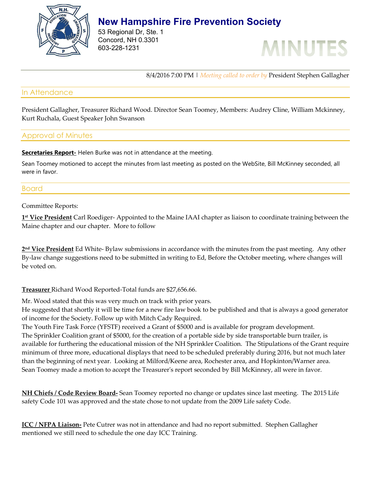

# **New Hampshire Fire Prevention Society**

53 Regional Dr, Ste. 1 Concord, NH 0.3301 603-228-1231



8/4/2016 7:00 PM | *Meeting called to order by* President Stephen Gallagher

## In Attendance

President Gallagher, Treasurer Richard Wood. Director Sean Toomey, Members: Audrey Cline, William Mckinney, Kurt Ruchala, Guest Speaker John Swanson

# Approval of Minutes

**Secretaries Report-** Helen Burke was not in attendance at the meeting.

Sean Toomey motioned to accept the minutes from last meeting as posted on the WebSite, Bill McKinney seconded, all were in favor.

## Board

Committee Reports:

**1 st Vice President** Carl Roediger- Appointed to the Maine IAAI chapter as liaison to coordinate training between the Maine chapter and our chapter. More to follow

**2 nd Vice President** Ed White- Bylaw submissions in accordance with the minutes from the past meeting. Any other By-law change suggestions need to be submitted in writing to Ed, Before the October meeting, where changes will be voted on.

**Treasurer** Richard Wood Reported-Total funds are \$27,656.66.

Mr. Wood stated that this was very much on track with prior years.

He suggested that shortly it will be time for a new fire law book to be published and that is always a good generator of income for the Society. Follow up with Mitch Cady Required.

The Youth Fire Task Force (YFSTF) received a Grant of \$5000 and is available for program development. The Sprinkler Coalition grant of \$5000, for the creation of a portable side by side transportable burn trailer, is available for furthering the educational mission of the NH Sprinkler Coalition. The Stipulations of the Grant require minimum of three more, educational displays that need to be scheduled preferably during 2016, but not much later than the beginning of next year. Looking at Milford/Keene area, Rochester area, and Hopkinton/Warner area. Sean Toomey made a motion to accept the Treasurer's report seconded by Bill McKinney, all were in favor.

**NH Chiefs / Code Review Board-** Sean Toomey reported no change or updates since last meeting. The 2015 Life safety Code 101 was approved and the state chose to not update from the 2009 Life safety Code.

**ICC / NFPA Liaison-** Pete Cutrer was not in attendance and had no report submitted. Stephen Gallagher mentioned we still need to schedule the one day ICC Training.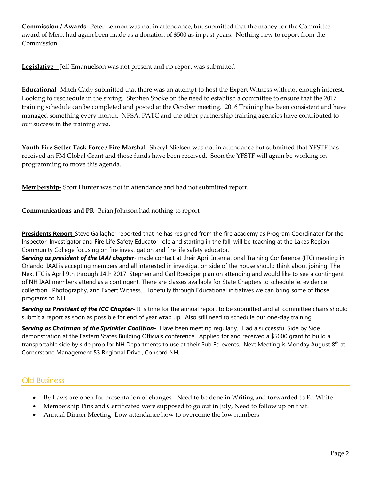**Commission / Awards-** Peter Lennon was not in attendance, but submitted that the money for the Committee award of Merit had again been made as a donation of \$500 as in past years. Nothing new to report from the Commission.

**Legislative –** Jeff Emanuelson was not present and no report was submitted

**Educational**- Mitch Cady submitted that there was an attempt to host the Expert Witness with not enough interest. Looking to reschedule in the spring. Stephen Spoke on the need to establish a committee to ensure that the 2017 training schedule can be completed and posted at the October meeting. 2016 Training has been consistent and have managed something every month. NFSA, PATC and the other partnership training agencies have contributed to our success in the training area.

**Youth Fire Setter Task Force / Fire Marshal**- Sheryl Nielsen was not in attendance but submitted that YFSTF has received an FM Global Grant and those funds have been received. Soon the YFSTF will again be working on programming to move this agenda.

**Membership-** Scott Hunter was not in attendance and had not submitted report.

**Communications and PR**- Brian Johnson had nothing to report

**Presidents Report-**Steve Gallagher reported that he has resigned from the fire academy as Program Coordinator for the Inspector, Investigator and Fire Life Safety Educator role and starting in the fall, will be teaching at the Lakes Region Community College focusing on fire investigation and fire life safety educator.

*Serving as president of the IAAI chapter*- made contact at their April International Training Conference (ITC) meeting in Orlando. IAAI is accepting members and all interested in investigation side of the house should think about joining. The Next ITC is April 9th through 14th 2017. Stephen and Carl Roediger plan on attending and would like to see a contingent of NH IAAI members attend as a contingent. There are classes available for State Chapters to schedule ie. evidence collection. Photography, and Expert Witness. Hopefully through Educational initiatives we can bring some of those programs to NH.

*Serving as President of the ICC Chapter-* It is time for the annual report to be submitted and all committee chairs should submit a report as soon as possible for end of year wrap up. Also still need to schedule our one-day training.

*Serving as Chairman of the Sprinkler Coalition-* Have been meeting regularly. Had a successful Side by Side demonstration at the Eastern States Building Officials conference. Applied for and received a \$5000 grant to build a transportable side by side prop for NH Departments to use at their Pub Ed events. Next Meeting is Monday August 8<sup>th</sup> at Cornerstone Management 53 Regional Drive,, Concord NH.

## Old Business

- By Laws are open for presentation of changes- Need to be done in Writing and forwarded to Ed White
- Membership Pins and Certificated were supposed to go out in July, Need to follow up on that.
- Annual Dinner Meeting- Low attendance how to overcome the low numbers